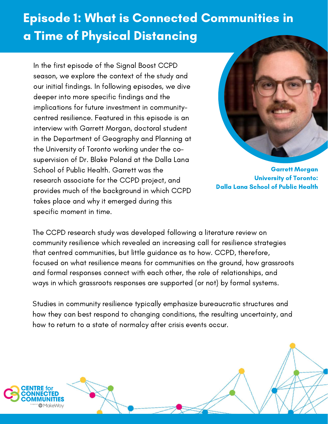## Episode 1: What is Connected Communities in a Time of Physical Distancing

In the first episode of the Signal Boost CCPD season, we explore the context of the study and our initial findings. In following episodes, we dive deeper into more specific findings and the implications for future investment in communitycentred resilience. Featured in this episode is an interview with Garrett Morgan, doctoral student in the Department of Geography and Planning at the University of Toronto working under the cosupervision of Dr. Blake Poland at the Dalla Lana School of Public Health. Garrett was the research associate for the CCPD project, and provides much of the background in which CCPD takes place and why it emerged during this specific moment in time.



Garrett Morgan University of Toronto: Dalla Lana School of Public Health

The CCPD research study was developed following a literature review on community resilience which revealed an increasing call for resilience strategies that centred communities, but little guidance as to how. CCPD, therefore, focused on what resilience means for communities on the ground, how grassroots and formal responses connect with each other, the role of relationships, and ways in which grassroots responses are supported (or not) by formal systems.

Studies in community resilience typically emphasize bureaucratic structures and how they can best respond to changing conditions, the resulting uncertainty, and how to return to a state of normalcy after crisis events occur.



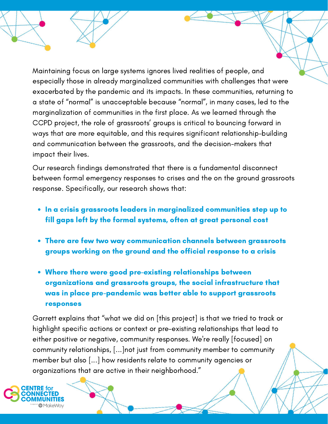Maintaining focus on large systems ignores lived realities of people, and especially those in already marginalized communities with challenges that were exacerbated by the pandemic and its impacts. In these communities, returning to a state of "normal" is unacceptable because "normal", in many cases, led to the marginalization of communities in the first place. As we learned through the CCPD project, the role of grassroots' groups is critical to bouncing forward in ways that are more equitable, and this requires significant relationship-building and communication between the grassroots, and the decision-makers that impact their lives.

Our research findings demonstrated that there is a fundamental disconnect between formal emergency responses to crises and the on the ground grassroots response. Specifically, our research shows that:

- In a crisis grassroots leaders in marginalized communities step up to fill gaps left by the formal systems, often at great personal cost
- There are few two way communication channels between grassroots groups working on the ground and the official response to a crisis
- Where there were good pre-existing relationships between organizations and grassroots groups, the social infrastructure that was in place pre-pandemic was better able to support grassroots responses

Garrett explains that "what we did on [this project] is that we tried to track or highlight specific actions or context or pre-existing relationships that lead to either positive or negative, community responses. We're really [focused] on community relationships, [...]not just from community member to community member but also [...] how residents relate to community agencies or organizations that are active in their neighborhood."